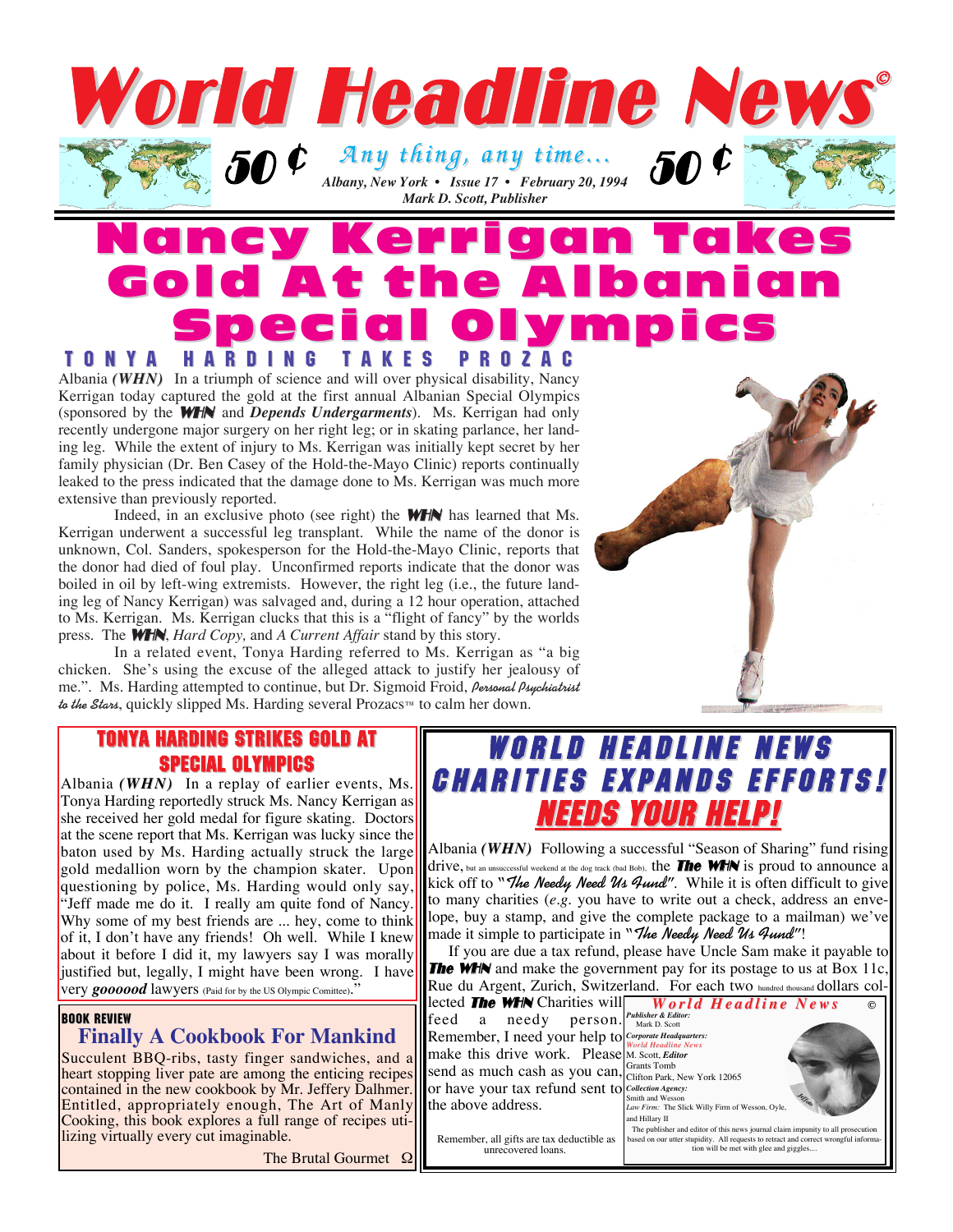

## Nancy Kerrigan Takes Gold At the Albanian Gold At the Albanian Special Ol Special Olympics TONYA HARDING TAKES PROZAC TONYA HARDING TAKES PROZAC

Albania *(WHN)* In a triumph of science and will over physical disability, Nancy Kerrigan today captured the gold at the first annual Albanian Special Olympics (sponsored by the WHN and *Depends Undergarments*). Ms. Kerrigan had only recently undergone major surgery on her right leg; or in skating parlance, her landing leg. While the extent of injury to Ms. Kerrigan was initially kept secret by her family physician (Dr. Ben Casey of the Hold-the-Mayo Clinic) reports continually leaked to the press indicated that the damage done to Ms. Kerrigan was much more extensive than previously reported.

Indeed, in an exclusive photo (see right) the **WHN** has learned that Ms. Kerrigan underwent a successful leg transplant. While the name of the donor is unknown, Col. Sanders, spokesperson for the Hold-the-Mayo Clinic, reports that the donor had died of foul play. Unconfirmed reports indicate that the donor was boiled in oil by left-wing extremists. However, the right leg (i.e., the future landing leg of Nancy Kerrigan) was salvaged and, during a 12 hour operation, attached to Ms. Kerrigan. Ms. Kerrigan clucks that this is a "flight of fancy" by the worlds press. The WHN, *Hard Copy,* and *A Current Affair* stand by this story.

In a related event, Tonya Harding referred to Ms. Kerrigan as "a big chicken. She's using the excuse of the alleged attack to justify her jealousy of me.". Ms. Harding attempted to continue, but Dr. Sigmoid Froid, **Personal Psychiatrist** to the Stan, quickly slipped Ms. Harding several Prozacs™ to calm her down.



#### TONYA HARDING STRIKES GOLD AT SPECIAL OLYMPICS

Albania *(WHN)* In a replay of earlier events, Ms. Tonya Harding reportedly struck Ms. Nancy Kerrigan as she received her gold medal for figure skating. Doctors at the scene report that Ms. Kerrigan was lucky since the baton used by Ms. Harding actually struck the large gold medallion worn by the champion skater. Upon questioning by police, Ms. Harding would only say, "Jeff made me do it. I really am quite fond of Nancy. Why some of my best friends are ... hey, come to think of it, I don't have any friends! Oh well. While I knew about it before I did it, my lawyers say I was morally justified but, legally, I might have been wrong. I have very **goooood** lawyers (Paid for by the US Olympic Comittee)."

#### BOOK REVIEW

#### **Finally A Cookbook For Mankind**

Succulent BBQ-ribs, tasty finger sandwiches, and a heart stopping liver pate are among the enticing recipes contained in the new cookbook by Mr. Jeffery Dalhmer. Entitled, appropriately enough, The Art of Manly Cooking, this book explores a full range of recipes utilizing virtually every cut imaginable.

The Brutal Gourmet Ω

## **WORLD HEADLINE NEWS CHARITIES EXPANDS EFFORTS!** NEEDS YOUR HELP!

Albania *(WHN)* Following a successful "Season of Sharing" fund rising drive, but an unsuccessful weekend at the dog track (bad Bob), the **The WHN** is proud to announce a kick off to **"The Needy Need Us Fund"**. While it is often difficult to give to many charities (*e.g.* you have to write out a check, address an envelope, buy a stamp, and give the complete package to a mailman) we've made it simple to participate in **"The Needy Need Us Fund"**!

If you are due a tax refund, please have Uncle Sam make it payable to **The WHN** and make the government pay for its postage to us at Box 11c. Rue du Argent, Zurich, Switzerland. For each two hundred thousand dollars collected **The WHN** Charities will **World Headline** News feed a needy person. Publisher & Edit Remember, I need your help to *Corporate Headquarters:* make this drive work. Please *World Headline News* M. Scott, *Editor* send as much cash as you can, Grants Tomb<br>Clifton Park, New York 12065 or have your tax refund sent to *Collection Agency:* the above address. Smith and Wess *Law Firm:* The Slick Willy Firm of Wesson, Oyle, and Hillary II The publisher and editor of this news journal claim impunity to all provided and the contract of the contract of the contract of the contract of the contract of the contract of the contract of the contract of the contract **©** *Jeffoto*

based on our utter stupidity. All requests to retract and correct wrongful informa-tion will be met with glee and giggles....

Remember, all gifts are tax deductible as unrecovered loans.